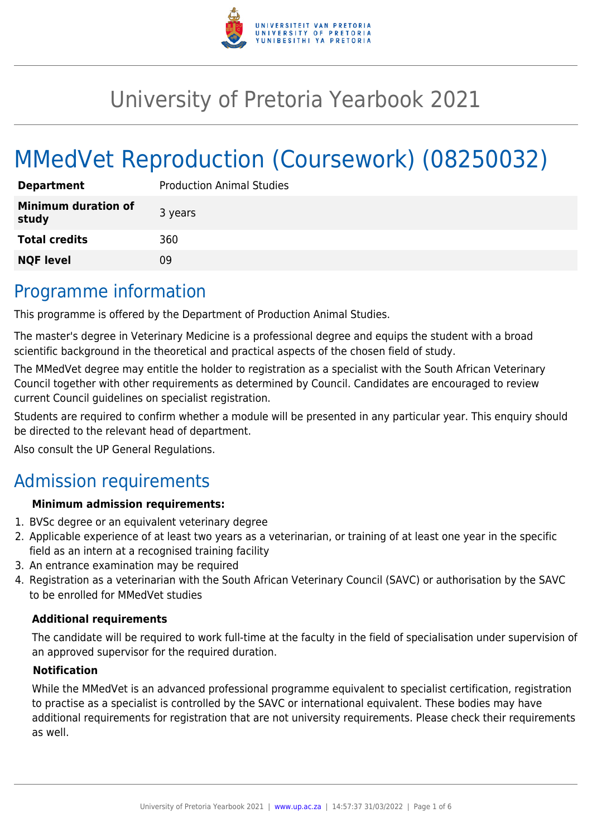

# University of Pretoria Yearbook 2021

# MMedVet Reproduction (Coursework) (08250032)

| <b>Department</b>                   | <b>Production Animal Studies</b> |
|-------------------------------------|----------------------------------|
| <b>Minimum duration of</b><br>study | 3 years                          |
| <b>Total credits</b>                | 360                              |
| <b>NQF level</b>                    | Ωd                               |

# Programme information

This programme is offered by the Department of Production Animal Studies.

The master's degree in Veterinary Medicine is a professional degree and equips the student with a broad scientific background in the theoretical and practical aspects of the chosen field of study.

The MMedVet degree may entitle the holder to registration as a specialist with the South African Veterinary Council together with other requirements as determined by Council. Candidates are encouraged to review current Council guidelines on specialist registration.

Students are required to confirm whether a module will be presented in any particular year. This enquiry should be directed to the relevant head of department.

Also consult the UP General Regulations.

# Admission requirements

### **Minimum admission requirements:**

- 1. BVSc degree or an equivalent veterinary degree
- 2. Applicable experience of at least two years as a veterinarian, or training of at least one year in the specific field as an intern at a recognised training facility
- 3. An entrance examination may be required
- 4. Registration as a veterinarian with the South African Veterinary Council (SAVC) or authorisation by the SAVC to be enrolled for MMedVet studies

### **Additional requirements**

The candidate will be required to work full-time at the faculty in the field of specialisation under supervision of an approved supervisor for the required duration.

#### **Notification**

While the MMedVet is an advanced professional programme equivalent to specialist certification, registration to practise as a specialist is controlled by the SAVC or international equivalent. These bodies may have additional requirements for registration that are not university requirements. Please check their requirements as well.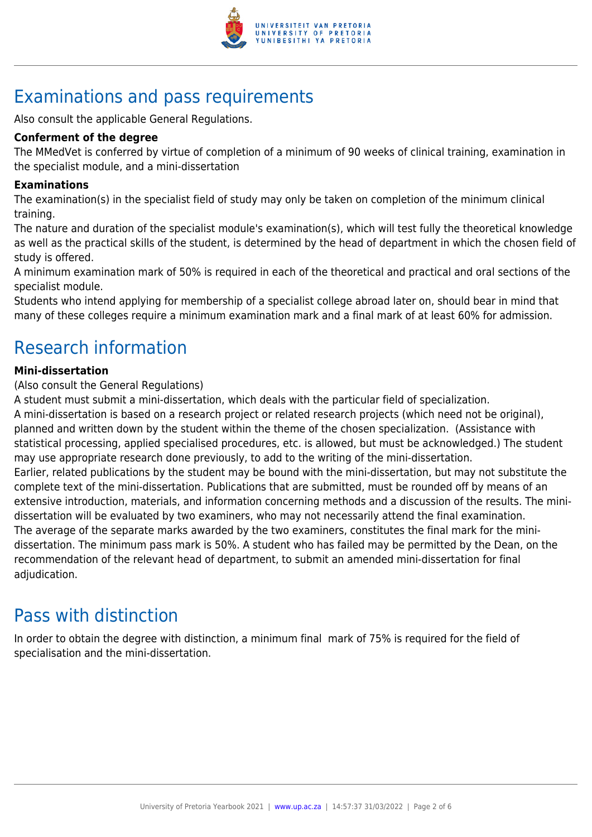

# Examinations and pass requirements

Also consult the applicable General Regulations.

#### **Conferment of the degree**

The MMedVet is conferred by virtue of completion of a minimum of 90 weeks of clinical training, examination in the specialist module, and a mini-dissertation

#### **Examinations**

The examination(s) in the specialist field of study may only be taken on completion of the minimum clinical training.

The nature and duration of the specialist module's examination(s), which will test fully the theoretical knowledge as well as the practical skills of the student, is determined by the head of department in which the chosen field of study is offered.

A minimum examination mark of 50% is required in each of the theoretical and practical and oral sections of the specialist module.

Students who intend applying for membership of a specialist college abroad later on, should bear in mind that many of these colleges require a minimum examination mark and a final mark of at least 60% for admission.

# Research information

#### **Mini-dissertation**

(Also consult the General Regulations)

A student must submit a mini-dissertation, which deals with the particular field of specialization.

A mini-dissertation is based on a research project or related research projects (which need not be original), planned and written down by the student within the theme of the chosen specialization. (Assistance with statistical processing, applied specialised procedures, etc. is allowed, but must be acknowledged.) The student may use appropriate research done previously, to add to the writing of the mini-dissertation. Earlier, related publications by the student may be bound with the mini-dissertation, but may not substitute the complete text of the mini-dissertation. Publications that are submitted, must be rounded off by means of an extensive introduction, materials, and information concerning methods and a discussion of the results. The minidissertation will be evaluated by two examiners, who may not necessarily attend the final examination. The average of the separate marks awarded by the two examiners, constitutes the final mark for the minidissertation. The minimum pass mark is 50%. A student who has failed may be permitted by the Dean, on the recommendation of the relevant head of department, to submit an amended mini-dissertation for final adjudication.

# Pass with distinction

In order to obtain the degree with distinction, a minimum final mark of 75% is required for the field of specialisation and the mini-dissertation.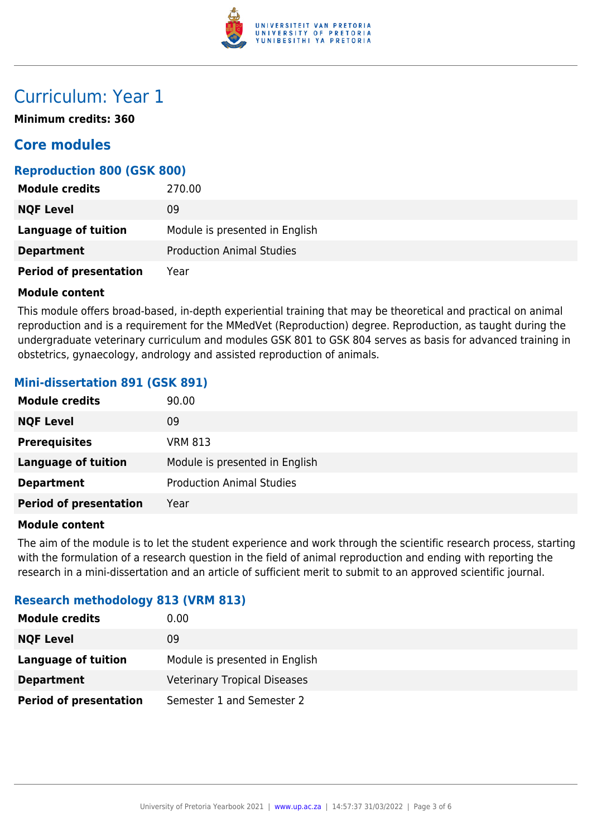

# Curriculum: Year 1

**Minimum credits: 360**

# **Core modules**

### **Reproduction 800 (GSK 800)**

| <b>Module credits</b>         | 270.00                           |
|-------------------------------|----------------------------------|
| <b>NQF Level</b>              | 09                               |
| Language of tuition           | Module is presented in English   |
| <b>Department</b>             | <b>Production Animal Studies</b> |
| <b>Period of presentation</b> | Year                             |

#### **Module content**

This module offers broad-based, in-depth experiential training that may be theoretical and practical on animal reproduction and is a requirement for the MMedVet (Reproduction) degree. Reproduction, as taught during the undergraduate veterinary curriculum and modules GSK 801 to GSK 804 serves as basis for advanced training in obstetrics, gynaecology, andrology and assisted reproduction of animals.

### **Mini-dissertation 891 (GSK 891)**

| <b>Module credits</b>         | 90.00                            |
|-------------------------------|----------------------------------|
| <b>NQF Level</b>              | 09                               |
| <b>Prerequisites</b>          | <b>VRM 813</b>                   |
| <b>Language of tuition</b>    | Module is presented in English   |
| <b>Department</b>             | <b>Production Animal Studies</b> |
| <b>Period of presentation</b> | Year                             |

#### **Module content**

The aim of the module is to let the student experience and work through the scientific research process, starting with the formulation of a research question in the field of animal reproduction and ending with reporting the research in a mini-dissertation and an article of sufficient merit to submit to an approved scientific journal.

### **Research methodology 813 (VRM 813)**

| <b>Module credits</b>         | 0.00                                |
|-------------------------------|-------------------------------------|
| <b>NQF Level</b>              | 09                                  |
| Language of tuition           | Module is presented in English      |
| <b>Department</b>             | <b>Veterinary Tropical Diseases</b> |
| <b>Period of presentation</b> | Semester 1 and Semester 2           |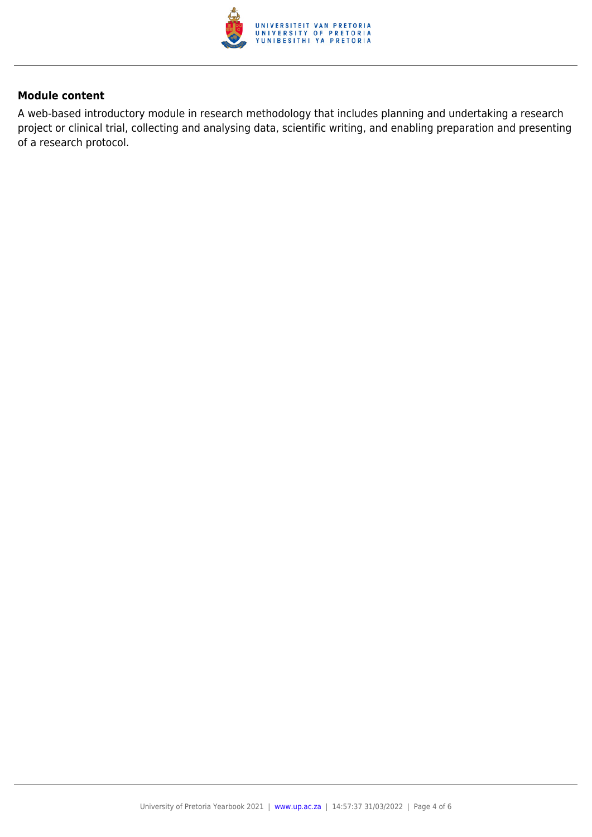

#### **Module content**

A web-based introductory module in research methodology that includes planning and undertaking a research project or clinical trial, collecting and analysing data, scientific writing, and enabling preparation and presenting of a research protocol.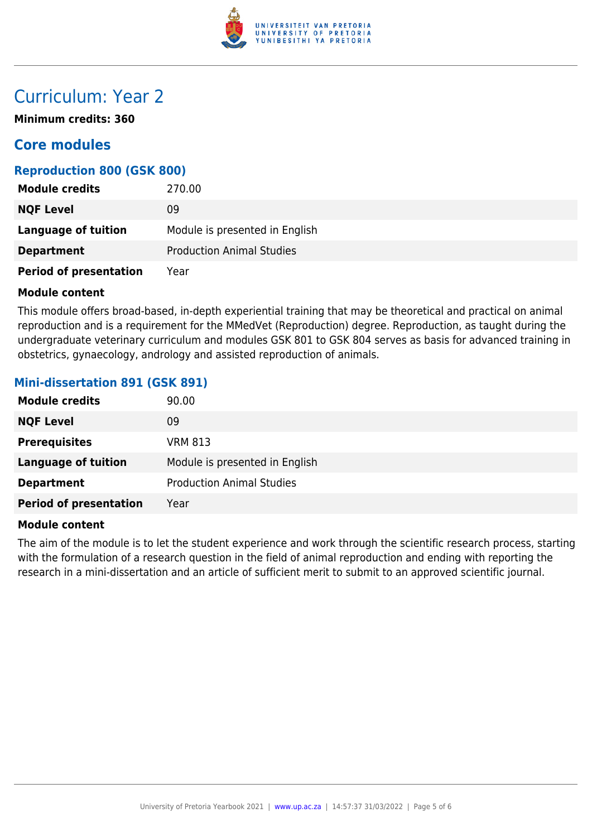

# Curriculum: Year 2

**Minimum credits: 360**

# **Core modules**

### **Reproduction 800 (GSK 800)**

| <b>Module credits</b>         | 270.00                           |
|-------------------------------|----------------------------------|
| <b>NQF Level</b>              | 09                               |
| Language of tuition           | Module is presented in English   |
| <b>Department</b>             | <b>Production Animal Studies</b> |
| <b>Period of presentation</b> | Year                             |

#### **Module content**

This module offers broad-based, in-depth experiential training that may be theoretical and practical on animal reproduction and is a requirement for the MMedVet (Reproduction) degree. Reproduction, as taught during the undergraduate veterinary curriculum and modules GSK 801 to GSK 804 serves as basis for advanced training in obstetrics, gynaecology, andrology and assisted reproduction of animals.

### **Mini-dissertation 891 (GSK 891)**

| <b>Module credits</b>         | 90.00                            |
|-------------------------------|----------------------------------|
| <b>NQF Level</b>              | 09                               |
| <b>Prerequisites</b>          | <b>VRM 813</b>                   |
| <b>Language of tuition</b>    | Module is presented in English   |
| <b>Department</b>             | <b>Production Animal Studies</b> |
| <b>Period of presentation</b> | Year                             |

#### **Module content**

The aim of the module is to let the student experience and work through the scientific research process, starting with the formulation of a research question in the field of animal reproduction and ending with reporting the research in a mini-dissertation and an article of sufficient merit to submit to an approved scientific journal.